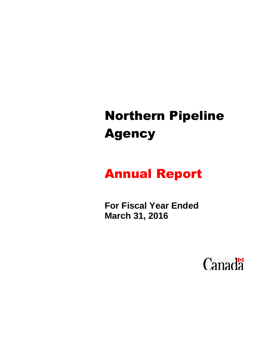# Northern Pipeline Agency

## Annual Report

**For Fiscal Year Ended March 31, 2016**

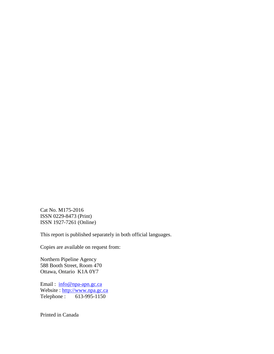Cat No. M175-2016 ISSN 0229-8473 (Print) ISSN 1927-7261 (Online)

This report is published separately in both official languages.

Copies are available on request from:

Northern Pipeline Agency 588 Booth Street, Room 470 Ottawa, Ontario K1A 0Y7

Email : [info@npa-apn.gc.ca](mailto:info@npa-apn.gc.ca) Website : [http://www.npa.gc.ca](http://www.npa.gc.ca/) Telephone : 613-995-1150

Printed in Canada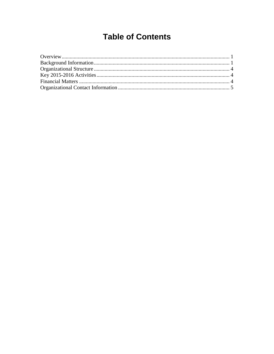### **Table of Contents**

<span id="page-2-0"></span>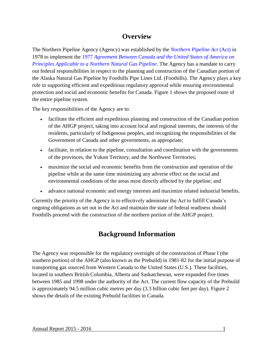#### **Overview**

<span id="page-4-0"></span>The Northern Pipeline Agency (Agency) was established by the *[Northern Pipeline Act](http://laws-lois.justice.gc.ca/eng/acts/N-26/index.html)* (Act) in 1978 to implement the 1977 *[Agreement Between Canada and the United States of America on](http://laws-lois.justice.gc.ca/eng/acts/N-26/index.html)  [Principles Applicable to a Northern Natural Gas Pipeline](http://laws-lois.justice.gc.ca/eng/acts/N-26/index.html)*. The Agency has a mandate to carry out federal responsibilities in respect to the planning and construction of the Canadian portion of the Alaska Natural Gas Pipeline by Foothills Pipe Lines Ltd. (Foothills). The Agency plays a key role in supporting efficient and expeditious regulatory approval while ensuring environmental protection and social and economic benefits for Canada. Figure 1 shows the proposed route of the entire pipeline system.

The key responsibilities of the Agency are to:

- facilitate the efficient and expeditious planning and construction of the Canadian portion of the AHGP project, taking into account local and regional interests, the interests of the residents, particularly of Indigenous peoples, and recognizing the responsibilities of the Government of Canada and other governments, as appropriate;
- facilitate, in relation to the pipeline, consultation and coordination with the governments of the provinces, the Yukon Territory, and the Northwest Territories;
- maximize the social and economic benefits from the construction and operation of the pipeline while at the same time minimizing any adverse effect on the social and environmental conditions of the areas most directly affected by the pipeline; and
- advance national economic and energy interests and maximize related industrial benefits.

Currently the priority of the Agency is to effectively administer the Act to fulfill Canada's ongoing obligations as set out in the Act and maintain the state of federal readiness should Foothills proceed with the construction of the northern portion of the AHGP project.

#### **Background Information**

<span id="page-4-1"></span>The Agency was responsible for the regulatory oversight of the construction of Phase I (the southern portion) of the AHGP (also known as the Prebuild) in 1981-82 for the initial purpose of transporting gas sourced from Western Canada to the United States (U.S.). These facilities, located in southern British Columbia, Alberta and Saskatchewan, were expanded five times between 1985 and 1998 under the authority of the Act. The current flow capacity of the Prebuild is approximately 94.5 million cubic metres per day (3.3 billion cubic feet per day). Figure 2 shows the details of the existing Prebuild facilities in Canada.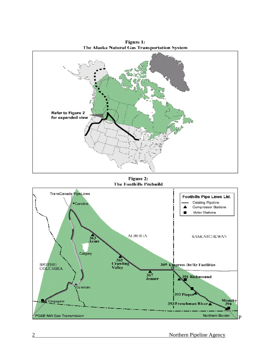

Figure 1:

Figure 2: The Foothills Prebuild

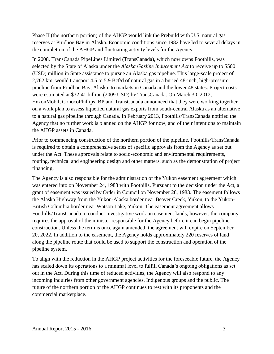Phase II (the northern portion) of the AHGP would link the Prebuild with U.S. natural gas reserves at Prudhoe Bay in Alaska. Economic conditions since 1982 have led to several delays in the completion of the AHGP and fluctuating activity levels for the Agency.

In 2008, TransCanada PipeLines Limited (TransCanada), which now owns Foothills, was selected by the State of Alaska under the *Alaska Gasline Inducement Act* to receive up to \$500 (USD) million in State assistance to pursue an Alaska gas pipeline. This large-scale project of 2,762 km, would transport 4.5 to 5.9 Bcf/d of natural gas in a buried 48-inch, high-pressure pipeline from Prudhoe Bay, Alaska, to markets in Canada and the lower 48 states. Project costs were estimated at \$32-41 billion (2009 USD) by TransCanada. On March 30, 2012, ExxonMobil, ConocoPhillips, BP and TransCanada announced that they were working together on a work plan to assess liquefied natural gas exports from south-central Alaska as an alternative to a natural gas pipeline through Canada. In February 2013, Foothills/TransCanada notified the Agency that no further work is planned on the AHGP for now, and of their intentions to maintain the AHGP assets in Canada.

Prior to commencing construction of the northern portion of the pipeline, Foothills/TransCanada is required to obtain a comprehensive series of specific approvals from the Agency as set out under the Act. These approvals relate to socio-economic and environmental requirements, routing, technical and engineering design and other matters, such as the demonstration of project financing.

The Agency is also responsible for the administration of the Yukon easement agreement which was entered into on November 24, 1983 with Foothills. Pursuant to the decision under the Act, a grant of easement was issued by Order in Council on November 28, 1983. The easement follows the Alaska Highway from the Yukon-Alaska border near Beaver Creek, Yukon, to the Yukon-British Columbia border near Watson Lake, Yukon. The easement agreement allows Foothills/TransCanada to conduct investigative work on easement lands; however, the company requires the approval of the minister responsible for the Agency before it can begin pipeline construction. Unless the term is once again amended, the agreement will expire on September 20, 2022. In addition to the easement, the Agency holds approximately 220 reserves of land along the pipeline route that could be used to support the construction and operation of the pipeline system.

To align with the reduction in the AHGP project activities for the foreseeable future, the Agency has scaled down its operations to a minimal level to fulfill Canada's ongoing obligations as set out in the Act. During this time of reduced activities, the Agency will also respond to any incoming inquiries from other government agencies, Indigenous groups and the public. The future of the northern portion of the AHGP continues to rest with its proponents and the commercial marketplace.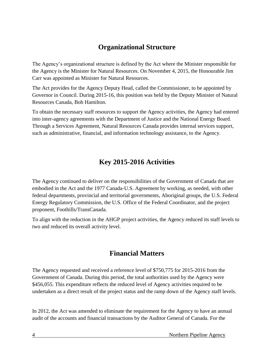#### **Organizational Structure**

<span id="page-7-0"></span>The Agency's organizational structure is defined by the Act where the Minister responsible for the Agency is the Minister for Natural Resources. On November 4, 2015, the Honourable Jim Carr was appointed as Minister for Natural Resources.

The Act provides for the Agency Deputy Head, called the Commissioner, to be appointed by Governor in Council. During 2015-16, this position was held by the Deputy Minister of Natural Resources Canada, Bob Hamilton.

To obtain the necessary staff resources to support the Agency activities, the Agency had entered into inter-agency agreements with the Department of Justice and the National Energy Board. Through a Services Agreement, Natural Resources Canada provides internal services support, such as administrative, financial, and information technology assistance, to the Agency.

#### **Key 2015-2016 Activities**

<span id="page-7-1"></span>The Agency continued to deliver on the responsibilities of the Government of Canada that are embodied in the Act and the 1977 Canada-U.S. Agreement by working, as needed, with other federal departments, provincial and territorial governments, Aboriginal groups, the U.S. Federal Energy Regulatory Commission, the U.S. Office of the Federal Coordinator, and the project proponent, Foothills/TransCanada.

To align with the reduction in the AHGP project activities, the Agency reduced its staff levels to two and reduced its overall activity level.

#### **Financial Matters**

<span id="page-7-2"></span>The Agency requested and received a reference level of \$750,775 for 2015-2016 from the Government of Canada. During this period, the total authorities used by the Agency were \$456,055. This expenditure reflects the reduced level of Agency activities required to be undertaken as a direct result of the project status and the ramp down of the Agency staff levels.

In 2012, the Act was amended to eliminate the requirement for the Agency to have an annual audit of the accounts and financial transactions by the Auditor General of Canada. For the